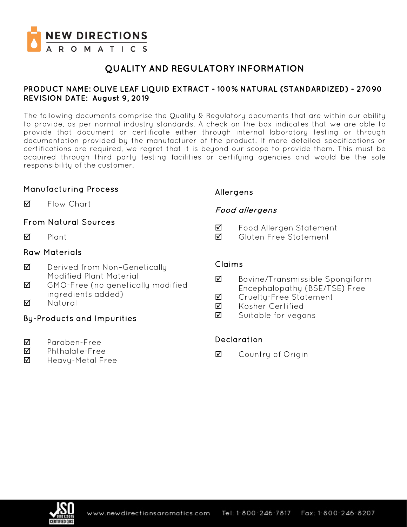

# **QUALITY AND REGULATORY INFORMATION**

### **PRODUCT NAME: OLIVE LEAF LIQUID EXTRACT - 100% NATURAL (STANDARDIZED) - 27090 REVISION DATE: August 9, 2019**

The following documents comprise the Quality & Regulatory documents that are within our ability to provide, as per normal industry standards. A check on the box indicates that we are able to provide that document or certificate either through internal laboratory testing or through documentation provided by the manufacturer of the product. If more detailed specifications or certifications are required, we regret that it is beyond our scope to provide them. This must be acquired through third party testing facilities or certifying agencies and would be the sole responsibility of the customer.

## Manufacturing Process

**M** Flow Chart

## From Natural Sources

 $\nabla$  Plant

## Raw Materials

- **Ø** Derived from Non-Genetically Modified Plant Material
- GMO-Free (no genetically modified ingredients added)
- **M** Natural

## By-Products and Impurities

- Paraben-Free
- Phthalate-Free
- $\boxtimes$  Heavy-Metal Free

## Allergens

## Food allergens

- Food Allergen Statement
- Gluten Free Statement

### Claims

- Bovine/Transmissible Spongiform Encephalopathy (BSE/TSE) Free
- **Ø** Crueltu-Free Statement
- **M** Kosher Certified
- $\boxtimes$  Suitable for vegans

## Declaration

**☑** Country of Origin

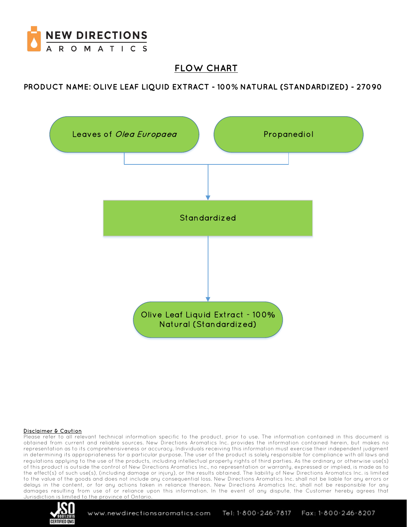

# **FLOW CHART**

**PRODUCT NAME: OLIVE LEAF LIQUID EXTRACT - 100% NATURAL (STANDARDIZED) - 27090**



#### Disclaimer & Caution

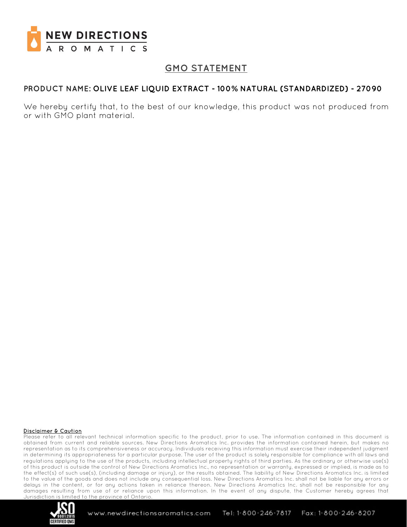

# **GMO STATEMENT**

## **PRODUCT NAME: OLIVE LEAF LIQUID EXTRACT - 100% NATURAL (STANDARDIZED) - 27090**

We hereby certify that, to the best of our knowledge, this product was not produced from or with GMO plant material.

#### Disclaimer & Caution

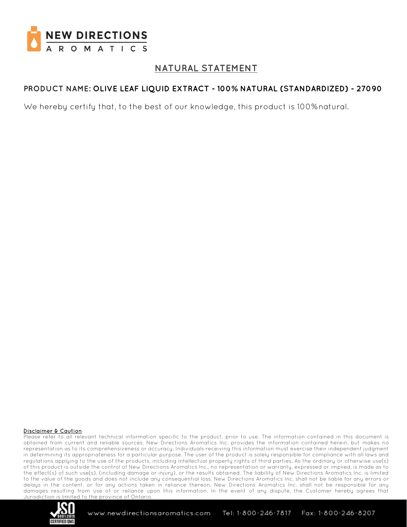

# **NATURAL STATEMENT**

## **PRODUCT NAME: OLIVE LEAF LIQUID EXTRACT - 100% NATURAL (STANDARDIZED) - 27090**

We hereby certify that, to the best of our knowledge, this product is 100%natural.

#### Disclaimer & Caution

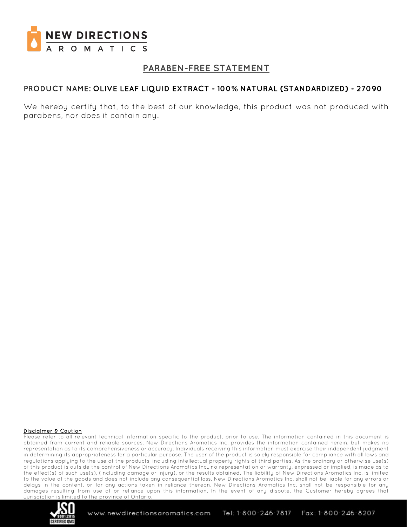

# **PARABEN-FREE STATEMENT**

## **PRODUCT NAME: OLIVE LEAF LIQUID EXTRACT - 100% NATURAL (STANDARDIZED) - 27090**

We hereby certify that, to the best of our knowledge, this product was not produced with parabens, nor does it contain any.

#### Disclaimer & Caution

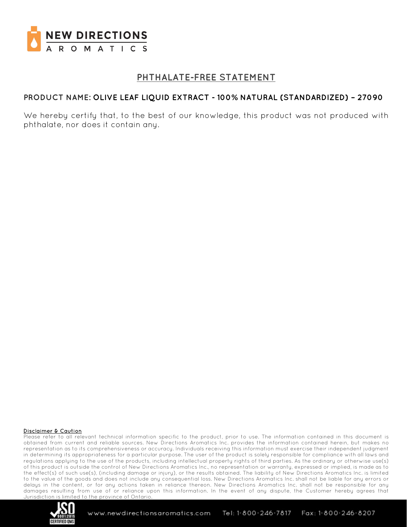

# **PHTHALATE-FREE STATEMENT**

### **PRODUCT NAME: OLIVE LEAF LIQUID EXTRACT - 100% NATURAL (STANDARDIZED) – 27090**

We hereby certify that, to the best of our knowledge, this product was not produced with phthalate, nor does it contain any.

#### Disclaimer & Caution

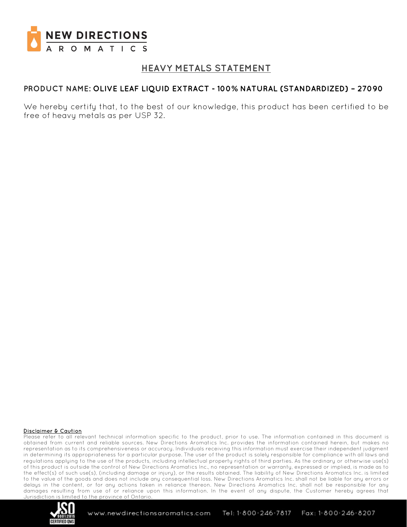

## **HEAVY METALS STATEMENT**

### **PRODUCT NAME: OLIVE LEAF LIQUID EXTRACT - 100% NATURAL (STANDARDIZED) – 27090**

We hereby certify that, to the best of our knowledge, this product has been certified to be free of heavy metals as per USP 32.

#### Disclaimer & Caution

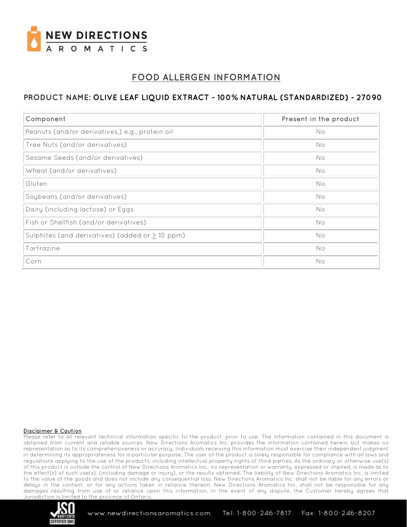

# **FOOD ALLERGEN INFORMATION**

## **PRODUCT NAME: OLIVE LEAF LIQUID EXTRACT - 100% NATURAL (STANDARDIZED) - 27090**

| Component                                            | Present in the product |
|------------------------------------------------------|------------------------|
| Peanuts (and/or derivatives,) e.g., protein oil      | No                     |
| Tree Nuts (and/or derivatives)                       | No                     |
| Sesame Seeds (and/or derivatives)                    | No                     |
| Wheat (and/or derivatives)                           | No                     |
| Gluten                                               | No                     |
| Soybeans (and/or derivatives)                        | No                     |
| Dairy (including lactose) or Eggs                    | No                     |
| Fish or Shellfish (and/or derivatives)               | No                     |
| Sulphites (and derivatives) (added or $\geq$ 10 ppm) | No                     |
| Tartrazine                                           | No                     |
| Corn                                                 | No                     |

#### Disclaimer & Caution

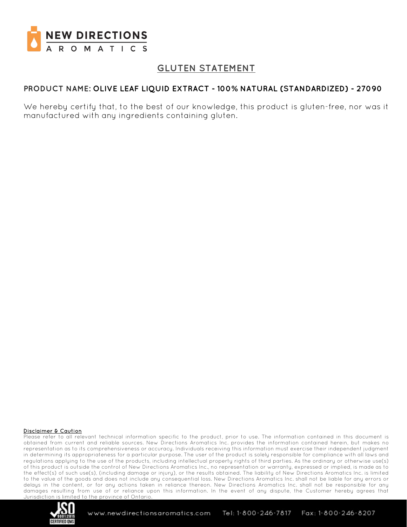

# **GLUTEN STATEMENT**

## **PRODUCT NAME: OLIVE LEAF LIQUID EXTRACT - 100% NATURAL (STANDARDIZED) - 27090**

We hereby certify that, to the best of our knowledge, this product is gluten-free, nor was it manufactured with any ingredients containing gluten.

#### Disclaimer & Caution

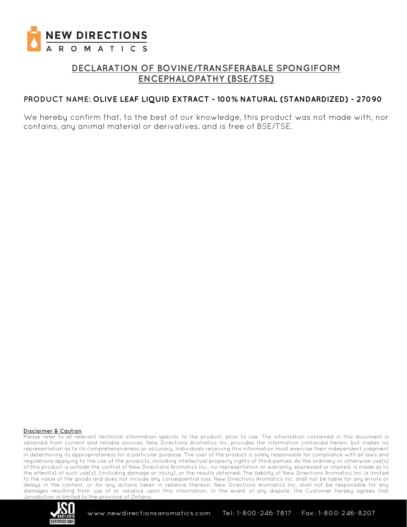

# **DECLARATION OF BOVINE/TRANSFERABALE SPONGIFORM ENCEPHALOPATHY (BSE/TSE)**

### **PRODUCT NAME: OLIVE LEAF LIQUID EXTRACT - 100% NATURAL (STANDARDIZED) - 27090**

We hereby confirm that, to the best of our knowledge, this product was not made with, nor contains, any animal material or derivatives, and is free of BSE/TSE.

#### Disclaimer & Caution

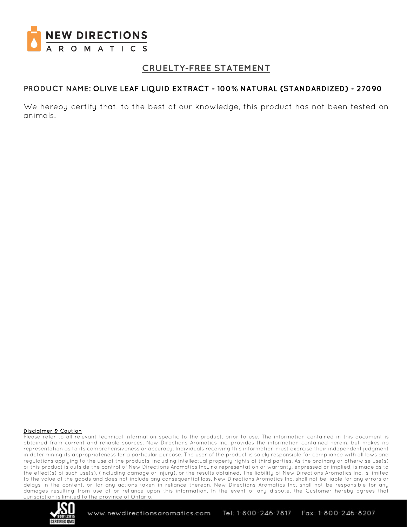

# **CRUELTY-FREE STATEMENT**

## **PRODUCT NAME: OLIVE LEAF LIQUID EXTRACT - 100% NATURAL (STANDARDIZED) - 27090**

We hereby certify that, to the best of our knowledge, this product has not been tested on animals.

#### Disclaimer & Caution

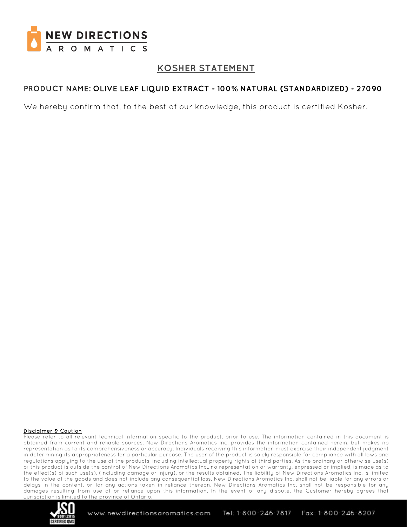

# **KOSHER STATEMENT**

## **PRODUCT NAME: OLIVE LEAF LIQUID EXTRACT - 100% NATURAL (STANDARDIZED) - 27090**

We hereby confirm that, to the best of our knowledge, this product is certified Kosher.

#### Disclaimer & Caution

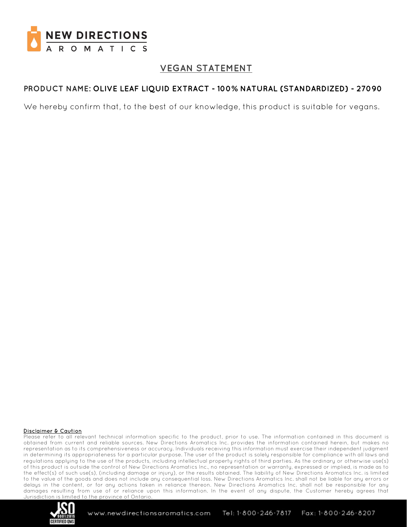

# **VEGAN STATEMENT**

## **PRODUCT NAME: OLIVE LEAF LIQUID EXTRACT - 100% NATURAL (STANDARDIZED) - 27090**

We hereby confirm that, to the best of our knowledge, this product is suitable for vegans.

#### Disclaimer & Caution